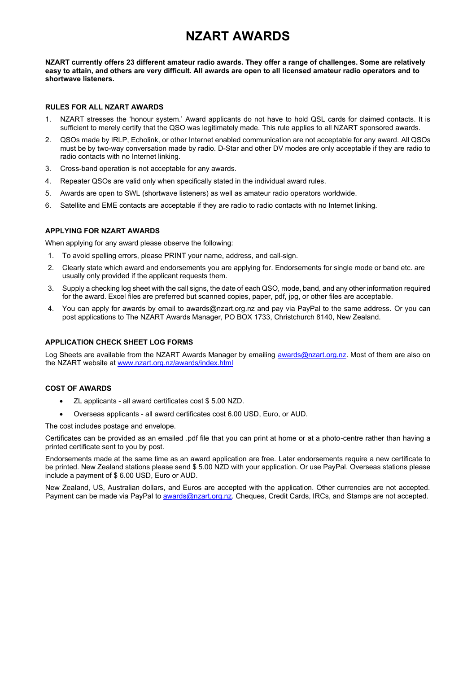# **NZART AWARDS**

**NZART currently offers 23 different amateur radio awards. They offer a range of challenges. Some are relatively easy to attain, and others are very difficult. All awards are open to all licensed amateur radio operators and to shortwave listeners.**

#### **RULES FOR ALL NZART AWARDS**

- 1. NZART stresses the 'honour system.' Award applicants do not have to hold QSL cards for claimed contacts. It is sufficient to merely certify that the QSO was legitimately made. This rule applies to all NZART sponsored awards.
- 2. QSOs made by IRLP, Echolink, or other Internet enabled communication are not acceptable for any award. All QSOs must be by two-way conversation made by radio. D-Star and other DV modes are only acceptable if they are radio to radio contacts with no Internet linking.
- 3. Cross-band operation is not acceptable for any awards.
- 4. Repeater QSOs are valid only when specifically stated in the individual award rules.
- 5. Awards are open to SWL (shortwave listeners) as well as amateur radio operators worldwide.
- 6. Satellite and EME contacts are acceptable if they are radio to radio contacts with no Internet linking.

#### **APPLYING FOR NZART AWARDS**

When applying for any award please observe the following:

- 1. To avoid spelling errors, please PRINT your name, address, and call-sign.
- 2. Clearly state which award and endorsements you are applying for. Endorsements for single mode or band etc. are usually only provided if the applicant requests them.
- 3. Supply a checking log sheet with the call signs, the date of each QSO, mode, band, and any other information required for the award. Excel files are preferred but scanned copies, paper, pdf, jpg, or other files are acceptable.
- 4. You can apply for awards by email to awards@nzart.org.nz and pay via PayPal to the same address. Or you can post applications to The NZART Awards Manager, PO BOX 1733, Christchurch 8140, New Zealand.

#### **APPLICATION CHECK SHEET LOG FORMS**

Log Sheets are available from the NZART Awards Manager by emailing [awards@nzart.org.nz.](mailto:zl3dw@outlook.co.nz) Most of them are also on the NZART website at [www.nzart.org.nz/awards/index.html](http://www.nzart.org.nz/awards/index.html)

#### **COST OF AWARDS**

- ZL applicants all award certificates cost \$ 5.00 NZD.
- Overseas applicants all award certificates cost 6.00 USD, Euro, or AUD.

The cost includes postage and envelope.

Certificates can be provided as an emailed .pdf file that you can print at home or at a photo-centre rather than having a printed certificate sent to you by post.

Endorsements made at the same time as an award application are free. Later endorsements require a new certificate to be printed. New Zealand stations please send \$ 5.00 NZD with your application. Or use PayPal. Overseas stations please include a payment of \$ 6.00 USD, Euro or AUD.

New Zealand, US, Australian dollars, and Euros are accepted with the application. Other currencies are not accepted. Payment can be made via PayPal to [awards@nzart.org.nz.](mailto:zl3dw@outlook.co.nz) Cheques, Credit Cards, IRCs, and Stamps are not accepted.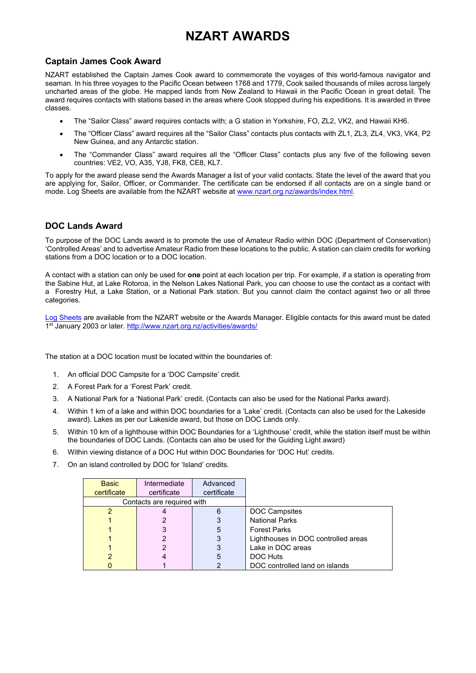# **NZART AWARDS**

## **Captain James Cook Award**

NZART established the Captain James Cook award to commemorate the voyages of this world-famous navigator and seaman. In his three voyages to the Pacific Ocean between 1768 and 1779, Cook sailed thousands of miles across largely uncharted areas of the globe. He mapped lands from New Zealand to Hawaii in the Pacific Ocean in great detail. The award requires contacts with stations based in the areas where Cook stopped during his expeditions. It is awarded in three classes.

- The "Sailor Class" award requires contacts with; a G station in Yorkshire, FO, ZL2, VK2, and Hawaii KH6.
- The "Officer Class" award requires all the "Sailor Class" contacts plus contacts with ZL1, ZL3, ZL4, VK3, VK4, P2 New Guinea, and any Antarctic station.
- The "Commander Class" award requires all the "Officer Class" contacts plus any five of the following seven countries: VE2, VO, A35, YJ8, FK8, CE8, KL7.

To apply for the award please send the Awards Manager a list of your valid contacts. State the level of the award that you are applying for, Sailor, Officer, or Commander. The certificate can be endorsed if all contacts are on a single band or mode. Log Sheets are available from the NZART website at [www.nzart.org.nz/awards/index.html.](http://www.nzart.org.nz/awards/index.html)

## **DOC Lands Award**

To purpose of the DOC Lands award is to promote the use of Amateur Radio within DOC (Department of Conservation) 'Controlled Areas' and to advertise Amateur Radio from these locations to the public. A station can claim credits for working stations from a DOC location or to a DOC location.

A contact with a station can only be used for **one** point at each location per trip. For example, if a station is operating from the Sabine Hut, at Lake Rotoroa, in the Nelson Lakes National Park, you can choose to use the contact as a contact with a Forestry Hut, a Lake Station, or a National Park station. But you cannot claim the contact against two or all three categories.

[Log Sheets](http://www.nzart.org.nz/activities/awards/) are available from the NZART website or the Awards Manager. Eligible contacts for this award must be dated 1<sup>st</sup> January 2003 or later. http://www.nzart.org.nz/activities/awards/

The station at a DOC location must be located within the boundaries of:

- 1. An official DOC Campsite for a 'DOC Campsite' credit.
- 2. A Forest Park for a 'Forest Park' credit.
- 3. A National Park for a 'National Park' credit. (Contacts can also be used for the National Parks award).
- 4. Within 1 km of a lake and within DOC boundaries for a 'Lake' credit. (Contacts can also be used for the Lakeside award). Lakes as per our Lakeside award, but those on DOC Lands only.
- 5. Within 10 km of a lighthouse within DOC Boundaries for a 'Lighthouse' credit, while the station itself must be within the boundaries of DOC Lands. (Contacts can also be used for the Guiding Light award)
- 6. Within viewing distance of a DOC Hut within DOC Boundaries for 'DOC Hut' credits.
- 7. On an island controlled by DOC for 'Island' credits.

| <b>Basic</b>               | Intermediate | Advanced    |                                     |
|----------------------------|--------------|-------------|-------------------------------------|
| certificate                | certificate  | certificate |                                     |
| Contacts are required with |              |             |                                     |
| 2                          |              | 6           | <b>DOC Campsites</b>                |
|                            |              |             | <b>National Parks</b>               |
|                            |              | 5           | <b>Forest Parks</b>                 |
|                            |              | 3           | Lighthouses in DOC controlled areas |
|                            |              | 3           | Lake in DOC areas                   |
| າ                          |              | 5           | DOC Huts                            |
|                            |              |             | DOC controlled land on islands      |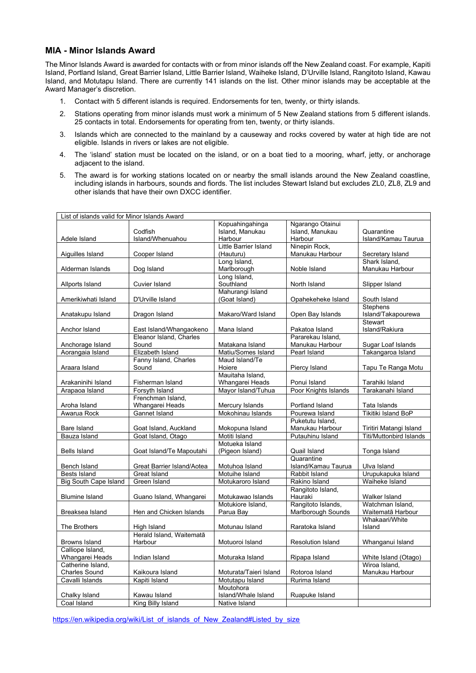## **MIA - Minor Islands Award**

The Minor Islands Award is awarded for contacts with or from minor islands off the New Zealand coast. For example, Kapiti Island, Portland Island, Great Barrier Island, Little Barrier Island, Waiheke Island, D'Urville Island, Rangitoto Island, Kawau Island, and Motutapu Island. There are currently 141 islands on the list. Other minor islands may be acceptable at the Award Manager's discretion.

- 1. Contact with 5 different islands is required. Endorsements for ten, twenty, or thirty islands.
- 2. Stations operating from minor islands must work a minimum of 5 New Zealand stations from 5 different islands. 25 contacts in total. Endorsements for operating from ten, twenty, or thirty islands.
- 3. Islands which are connected to the mainland by a causeway and rocks covered by water at high tide are not eligible. Islands in rivers or lakes are not eligible.
- 4. The 'island' station must be located on the island, or on a boat tied to a mooring, wharf, jetty, or anchorage adjacent to the island.
- 5. The award is for working stations located on or nearby the small islands around the New Zealand coastline, including islands in harbours, sounds and fiords. The list includes Stewart Island but excludes ZL0, ZL8, ZL9 and other islands that have their own DXCC identifier.

| List of islands valid for Minor Islands Award |                            |                        |                          |                         |  |
|-----------------------------------------------|----------------------------|------------------------|--------------------------|-------------------------|--|
|                                               |                            | Kopuahingahinga        | Ngarango Otainui         |                         |  |
|                                               | Codfish                    | Island, Manukau        | Island, Manukau          | Quarantine              |  |
| Adele Island                                  | Island/Whenuahou           | Harbour                | Harbour                  | Island/Kamau Taurua     |  |
|                                               |                            | Little Barrier Island  | Ninepin Rock,            |                         |  |
| Aiguilles Island                              | Cooper Island              | (Hauturu)              | Manukau Harbour          | Secretary Island        |  |
|                                               |                            | Long Island,           |                          | Shark Island.           |  |
| Alderman Islands                              | Dog Island                 | Marlborough            | Noble Island             | Manukau Harbour         |  |
|                                               |                            | Long Island,           |                          |                         |  |
| Allports Island                               | Cuvier Island              | Southland              | North Island             | Slipper Island          |  |
|                                               |                            | Mahurangi Island       |                          |                         |  |
| Amerikiwhati Island                           | D'Urville Island           | (Goat Island)          | Opahekeheke Island       | South Island            |  |
|                                               |                            |                        |                          | <b>Stephens</b>         |  |
| Anatakupu Island                              | Dragon Island              | Makaro/Ward Island     | Open Bay Islands         | Island/Takapourewa      |  |
|                                               |                            |                        |                          | Stewart                 |  |
| Anchor Island                                 | East Island/Whangaokeno    | Mana Island            | Pakatoa Island           | Island/Rakiura          |  |
|                                               | Eleanor Island, Charles    |                        | Pararekau Island.        |                         |  |
| Anchorage Island                              | Sound                      | Matakana Island        | Manukau Harbour          | Sugar Loaf Islands      |  |
| Aorangaia Island                              | Elizabeth Island           | Matiu/Somes Island     | Pearl Island             | Takangaroa Island       |  |
|                                               | Fanny Island, Charles      | Maud Island/Te         |                          |                         |  |
| Araara Island                                 | Sound                      | Hoiere                 | Piercy Island            | Tapu Te Ranga Motu      |  |
|                                               |                            | Mauitaha Island,       |                          |                         |  |
| Arakaninihi Island                            | Fisherman Island           | Whangarei Heads        | Ponui Island             | Tarahiki Island         |  |
| Arapaoa Island                                | Forsyth Island             | Mayor Island/Tuhua     | Poor Knights Islands     | Tarakanahi Island       |  |
|                                               | Frenchman Island,          |                        |                          |                         |  |
| Aroha Island                                  | Whangarei Heads            | Mercury Islands        | Portland Island          | Tata Islands            |  |
| Awarua Rock                                   | <b>Gannet Island</b>       | Mokohinau Islands      | Pourewa Island           | Tikitiki Island BoP     |  |
|                                               |                            |                        | Puketutu Island.         |                         |  |
| Bare Island                                   | Goat Island, Auckland      | Mokopuna Island        | Manukau Harbour          | Tiritiri Matangi Island |  |
| Bauza Island                                  | Goat Island, Otago         | Motiti Island          | Putauhinu Island         | Titi/Muttonbird Islands |  |
|                                               |                            | Motueka Island         |                          |                         |  |
| <b>Bells Island</b>                           | Goat Island/Te Mapoutahi   | (Pigeon Island)        | Quail Island             | Tonga Island            |  |
|                                               |                            |                        | Quarantine               |                         |  |
| Bench Island                                  | Great Barrier Island/Aotea | Motuhoa Island         | Island/Kamau Taurua      | Ulva Island             |  |
| <b>Bests Island</b>                           | Great Island               | Motuihe Island         | Rabbit Island            | Urupukapuka Island      |  |
| <b>Big South Cape Island</b>                  | Green Island               | Motukaroro Island      | Rakino Island            | Waiheke Island          |  |
|                                               |                            |                        | Rangitoto Island,        |                         |  |
| <b>Blumine Island</b>                         | Guano Island, Whangarei    | Motukawao Islands      | Hauraki                  | Walker Island           |  |
|                                               |                            | Motukiore Island,      | Rangitoto Islands,       | Watchman Island,        |  |
| Breaksea Island                               | Hen and Chicken Islands    | Parua Bay              | Marlborough Sounds       | Waitematā Harbour       |  |
|                                               |                            |                        |                          | Whakaari/White          |  |
| The Brothers                                  | High Island                | Motunau Island         | Raratoka Island          | Island                  |  |
|                                               | Herald Island, Waitematā   |                        |                          |                         |  |
| <b>Browns Island</b>                          | Harbour                    | Motuoroi Island        | <b>Resolution Island</b> | Whanganui Island        |  |
| Calliope Island,                              |                            |                        |                          |                         |  |
| Whangarei Heads                               | Indian Island              | Moturaka Island        | Ripapa Island            | White Island (Otago)    |  |
| Catherine Island,                             |                            |                        |                          | Wiroa Island.           |  |
| <b>Charles Sound</b>                          | Kaikoura Island            | Moturata/Taieri Island | Rotoroa Island           | Manukau Harbour         |  |
| Cavalli Islands                               | Kapiti Island              | Motutapu Island        | Rurima Island            |                         |  |
|                                               |                            | Moutohora              |                          |                         |  |
| Chalky Island                                 | Kawau Island               | Island/Whale Island    | Ruapuke Island           |                         |  |
| Coal Island                                   | King Billy Island          | Native Island          |                          |                         |  |
|                                               |                            |                        |                          |                         |  |

[https://en.wikipedia.org/wiki/List\\_of\\_islands\\_of\\_New\\_Zealand#Listed\\_by\\_size](https://en.wikipedia.org/wiki/List_of_islands_of_New_Zealand#Listed_by_size)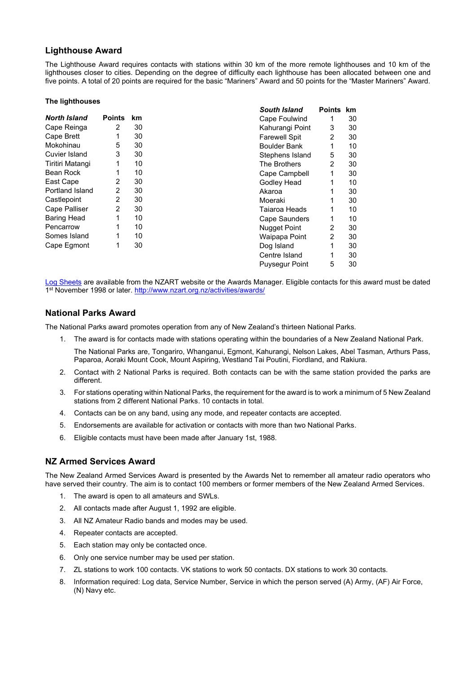## **Lighthouse Award**

The Lighthouse Award requires contacts with stations within 30 km of the more remote lighthouses and 10 km of the lighthouses closer to cities. Depending on the degree of difficulty each lighthouse has been allocated between one and five points. A total of 20 points are required for the basic "Mariners" Award and 50 points for the "Master Mariners" Award.

#### **The lighthouses**

|                      |               |    | <b>South Island</b>  | <b>Points</b>  | <b>km</b> |
|----------------------|---------------|----|----------------------|----------------|-----------|
| <b>North Island</b>  | <b>Points</b> | km | Cape Foulwind        |                | 30        |
| Cape Reinga          | 2             | 30 | Kahurangi Point      | 3              | 30        |
| Cape Brett           |               | 30 | <b>Farewell Spit</b> | 2              | 30        |
| Mokohinau            | 5             | 30 | Boulder Bank         | 1              | 10        |
| <b>Cuvier Island</b> | 3             | 30 | Stephens Island      | 5              | 30        |
| Tiritiri Matangi     | 1             | 10 | The Brothers         | $\overline{2}$ | 30        |
| Bean Rock            |               | 10 | Cape Campbell        | 1              | 30        |
| East Cape            | 2             | 30 | Godley Head          |                | 10        |
| Portland Island      | 2             | 30 | Akaroa               |                | 30        |
| Castlepoint          | 2             | 30 | Moeraki              |                | 30        |
| Cape Palliser        | 2             | 30 | Taiaroa Heads        |                | 10        |
| <b>Baring Head</b>   | 1             | 10 | Cape Saunders        |                | 10        |
| Pencarrow            | 1             | 10 | Nugget Point         | 2              | 30        |
| Somes Island         | 1             | 10 | Waipapa Point        | 2              | 30        |
| Cape Egmont          | 1             | 30 | Dog Island           | 1              | 30        |
|                      |               |    | Centre Island        | 1              | 30        |
|                      |               |    | Puysegur Point       | 5              | 30        |

[Log Sheets](http://www.nzart.org.nz/activities/awards/) are available from the NZART website or the Awards Manager. Eligible contacts for this award must be dated 1<sup>st</sup> November 1998 or later. http://www.nzart.org.nz/activities/awards/

## **National Parks Award**

The National Parks award promotes operation from any of New Zealand's thirteen National Parks.

- 1. The award is for contacts made with stations operating within the boundaries of a New Zealand National Park.
- The National Parks are, Tongariro, Whanganui, Egmont, Kahurangi, Nelson Lakes, Abel Tasman, Arthurs Pass, Paparoa, Aoraki Mount Cook, Mount Aspiring, Westland Tai Poutini, Fiordland, and Rakiura.
- 2. Contact with 2 National Parks is required. Both contacts can be with the same station provided the parks are different.
- 3. For stations operating within National Parks, the requirement for the award is to work a minimum of 5 New Zealand stations from 2 different National Parks. 10 contacts in total.
- 4. Contacts can be on any band, using any mode, and repeater contacts are accepted.
- 5. Endorsements are available for activation or contacts with more than two National Parks.
- 6. Eligible contacts must have been made after January 1st, 1988.

## **NZ Armed Services Award**

The New Zealand Armed Services Award is presented by the Awards Net to remember all amateur radio operators who have served their country. The aim is to contact 100 members or former members of the New Zealand Armed Services.

- 1. The award is open to all amateurs and SWLs.
- 2. All contacts made after August 1, 1992 are eligible.
- 3. All NZ Amateur Radio bands and modes may be used.
- 4. Repeater contacts are accepted.
- 5. Each station may only be contacted once.
- 6. Only one service number may be used per station.
- 7. ZL stations to work 100 contacts. VK stations to work 50 contacts. DX stations to work 30 contacts.
- 8. Information required: Log data, Service Number, Service in which the person served (A) Army, (AF) Air Force, (N) Navy etc.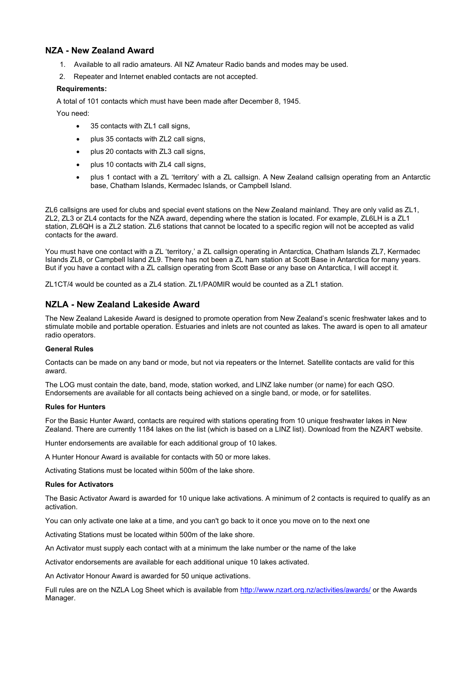## **NZA - New Zealand Award**

- 1. Available to all radio amateurs. All NZ Amateur Radio bands and modes may be used.
- 2. Repeater and Internet enabled contacts are not accepted.

#### **Requirements:**

A total of 101 contacts which must have been made after December 8, 1945.

You need:

- 35 contacts with ZL1 call signs,
- plus 35 contacts with ZL2 call signs,
- plus 20 contacts with ZL3 call signs,
- plus 10 contacts with ZL4 call signs,
- plus 1 contact with a ZL 'territory' with a ZL callsign. A New Zealand callsign operating from an Antarctic base, Chatham Islands, Kermadec Islands, or Campbell Island.

ZL6 callsigns are used for clubs and special event stations on the New Zealand mainland. They are only valid as ZL1, ZL2, ZL3 or ZL4 contacts for the NZA award, depending where the station is located. For example, ZL6LH is a ZL1 station, ZL6QH is a ZL2 station. ZL6 stations that cannot be located to a specific region will not be accepted as valid contacts for the award.

You must have one contact with a ZL 'territory,' a ZL callsign operating in Antarctica, Chatham Islands ZL7, Kermadec Islands ZL8, or Campbell Island ZL9. There has not been a ZL ham station at Scott Base in Antarctica for many years. But if you have a contact with a ZL callsign operating from Scott Base or any base on Antarctica, I will accept it.

ZL1CT/4 would be counted as a ZL4 station. ZL1/PA0MIR would be counted as a ZL1 station.

## **NZLA - New Zealand Lakeside Award**

The New Zealand Lakeside Award is designed to promote operation from New Zealand's scenic freshwater lakes and to stimulate mobile and portable operation. Estuaries and inlets are not counted as lakes. The award is open to all amateur radio operators.

#### **General Rules**

Contacts can be made on any band or mode, but not via repeaters or the Internet. Satellite contacts are valid for this award.

The LOG must contain the date, band, mode, station worked, and LINZ lake number (or name) for each QSO. Endorsements are available for all contacts being achieved on a single band, or mode, or for satellites.

#### **Rules for Hunters**

For the Basic Hunter Award, contacts are required with stations operating from 10 unique freshwater lakes in New Zealand. There are currently 1184 lakes on the list (which is based on a LINZ list). Download from the NZART website.

Hunter endorsements are available for each additional group of 10 lakes.

A Hunter Honour Award is available for contacts with 50 or more lakes.

Activating Stations must be located within 500m of the lake shore.

#### **Rules for Activators**

The Basic Activator Award is awarded for 10 unique lake activations. A minimum of 2 contacts is required to qualify as an activation.

You can only activate one lake at a time, and you can't go back to it once you move on to the next one

Activating Stations must be located within 500m of the lake shore.

An Activator must supply each contact with at a minimum the lake number or the name of the lake

Activator endorsements are available for each additional unique 10 lakes activated.

An Activator Honour Award is awarded for 50 unique activations.

Full rules are on the NZLA Log Sheet which is available from<http://www.nzart.org.nz/activities/awards/> or the Awards Manager.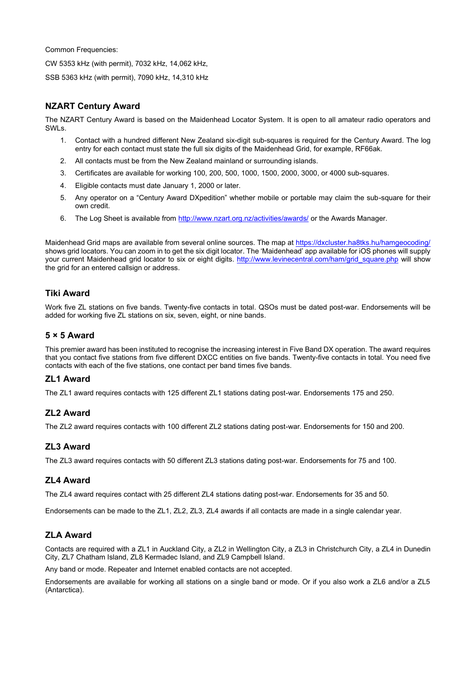Common Frequencies:

CW 5353 kHz (with permit), 7032 kHz, 14,062 kHz,

SSB 5363 kHz (with permit), 7090 kHz, 14,310 kHz

## **NZART Century Award**

The NZART Century Award is based on the Maidenhead Locator System. It is open to all amateur radio operators and SWLs.

- 1. Contact with a hundred different New Zealand six-digit sub-squares is required for the Century Award. The log entry for each contact must state the full six digits of the Maidenhead Grid, for example, RF66ak.
- 2. All contacts must be from the New Zealand mainland or surrounding islands.
- 3. Certificates are available for working 100, 200, 500, 1000, 1500, 2000, 3000, or 4000 sub-squares.
- 4. Eligible contacts must date January 1, 2000 or later.
- 5. Any operator on a "Century Award DXpedition" whether mobile or portable may claim the sub-square for their own credit.
- 6. The Log Sheet is available from<http://www.nzart.org.nz/activities/awards/> or the Awards Manager.

Maidenhead Grid maps are available from several online sources. The map at<https://dxcluster.ha8tks.hu/hamgeocoding/> shows grid locators. You can zoom in to get the six digit locator. The 'Maidenhead' app available for iOS phones will supply your current Maidenhead grid locator to six or eight digits. [http://www.levinecentral.com/ham/grid\\_square.php](http://www.levinecentral.com/ham/grid_square.php) will show the grid for an entered callsign or address.

## **Tiki Award**

Work five ZL stations on five bands. Twenty-five contacts in total. QSOs must be dated post-war. Endorsements will be added for working five ZL stations on six, seven, eight, or nine bands.

## **5 × 5 Award**

This premier award has been instituted to recognise the increasing interest in Five Band DX operation. The award requires that you contact five stations from five different DXCC entities on five bands. Twenty-five contacts in total. You need five contacts with each of the five stations, one contact per band times five bands.

#### **ZL1 Award**

The ZL1 award requires contacts with 125 different ZL1 stations dating post-war. Endorsements 175 and 250.

## **ZL2 Award**

The ZL2 award requires contacts with 100 different ZL2 stations dating post-war. Endorsements for 150 and 200.

## **ZL3 Award**

The ZL3 award requires contacts with 50 different ZL3 stations dating post-war. Endorsements for 75 and 100.

## **ZL4 Award**

The ZL4 award requires contact with 25 different ZL4 stations dating post-war. Endorsements for 35 and 50.

Endorsements can be made to the ZL1, ZL2, ZL3, ZL4 awards if all contacts are made in a single calendar year.

## **ZLA Award**

Contacts are required with a ZL1 in Auckland City, a ZL2 in Wellington City, a ZL3 in Christchurch City, a ZL4 in Dunedin City, ZL7 Chatham Island, ZL8 Kermadec Island, and ZL9 Campbell Island.

Any band or mode. Repeater and Internet enabled contacts are not accepted.

Endorsements are available for working all stations on a single band or mode. Or if you also work a ZL6 and/or a ZL5 (Antarctica).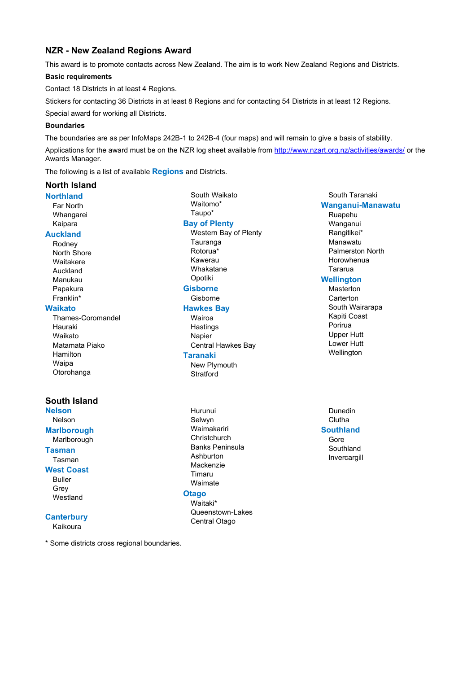## **NZR - New Zealand Regions Award**

This award is to promote contacts across New Zealand. The aim is to work New Zealand Regions and Districts.

#### **Basic requirements**

Contact 18 Districts in at least 4 Regions.

Stickers for contacting 36 Districts in at least 8 Regions and for contacting 54 Districts in at least 12 Regions.

Special award for working all Districts.

#### **Boundaries**

The boundaries are as per InfoMaps 242B-1 to 242B-4 (four maps) and will remain to give a basis of stability.

Applications for the award must be on the NZR log sheet available from<http://www.nzart.org.nz/activities/awards/> or the Awards Manager.

The following is a list of available **Regions** and Districts.

#### **North Island**

**Northland** Far North Whangarei Kaipara **Auckland**

#### Rodney North Shore Waitakere Auckland Manukau

Papakura Franklin\*

#### **Waikato**

Thames-Coromandel Hauraki Waikato Matamata Piako Hamilton Waipa Otorohanga

## **South Island**

**Nelson** Nelson **Marlborough** Marlborough **Tasman** Tasman

#### **West Coast**

Buller Grey Westland

## **Canterbury**

Kaikoura

\* Some districts cross regional boundaries.

South Waikato Waitomo\* Taupo\* **Bay of Plenty** Western Bay of Plenty **Tauranga** Rotorua\* Kawerau Whakatane Opotiki **Gisborne** Gisborne

#### **Hawkes Bay**

Wairoa **Hastings** Napier Central Hawkes Bay

## **Taranaki**

New Plymouth **Stratford** 

Hurunui Selwyn Waimakariri **Christchurch** Banks Peninsula Ashburton Mackenzie Timaru Waimate

## **Otago**

Waitaki\* Queenstown-Lakes Central Otago

## South Taranaki **Wanganui-Manawatu**

Ruapehu Wanganui Rangitikei\* Manawatu Palmerston North Horowhenua Tararua

#### **Wellington**

- Masterton **Carterton** South Wairarapa Kapiti Coast Porirua Upper Hutt Lower Hutt Wellington
- Dunedin Clutha **Southland** Gore Southland Invercargill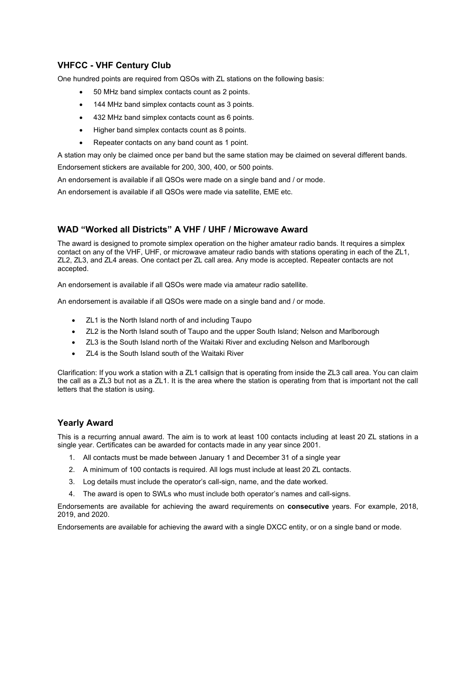## **VHFCC - VHF Century Club**

One hundred points are required from QSOs with ZL stations on the following basis:

- 50 MHz band simplex contacts count as 2 points.
- 144 MHz band simplex contacts count as 3 points.
- 432 MHz band simplex contacts count as 6 points.
- Higher band simplex contacts count as 8 points.
- Repeater contacts on any band count as 1 point.

A station may only be claimed once per band but the same station may be claimed on several different bands. Endorsement stickers are available for 200, 300, 400, or 500 points.

An endorsement is available if all QSOs were made on a single band and / or mode.

An endorsement is available if all QSOs were made via satellite, EME etc.

## **WAD "Worked all Districts" A VHF / UHF / Microwave Award**

The award is designed to promote simplex operation on the higher amateur radio bands. It requires a simplex contact on any of the VHF, UHF, or microwave amateur radio bands with stations operating in each of the ZL1, ZL2, ZL3, and ZL4 areas. One contact per ZL call area. Any mode is accepted. Repeater contacts are not accepted.

An endorsement is available if all QSOs were made via amateur radio satellite.

An endorsement is available if all QSOs were made on a single band and / or mode.

- ZL1 is the North Island north of and including Taupo
- ZL2 is the North Island south of Taupo and the upper South Island; Nelson and Marlborough
- ZL3 is the South Island north of the Waitaki River and excluding Nelson and Marlborough
- ZL4 is the South Island south of the Waitaki River

Clarification: If you work a station with a ZL1 callsign that is operating from inside the ZL3 call area. You can claim the call as a ZL3 but not as a ZL1. It is the area where the station is operating from that is important not the call letters that the station is using.

#### **Yearly Award**

This is a recurring annual award. The aim is to work at least 100 contacts including at least 20 ZL stations in a single year. Certificates can be awarded for contacts made in any year since 2001.

- 1. All contacts must be made between January 1 and December 31 of a single year
- 2. A minimum of 100 contacts is required. All logs must include at least 20 ZL contacts.
- 3. Log details must include the operator's call-sign, name, and the date worked.
- 4. The award is open to SWLs who must include both operator's names and call-signs.

Endorsements are available for achieving the award requirements on **consecutive** years. For example, 2018, 2019, and 2020.

Endorsements are available for achieving the award with a single DXCC entity, or on a single band or mode.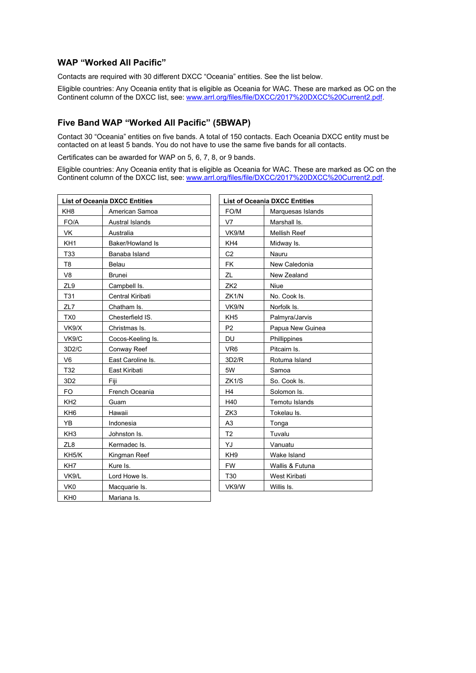## **WAP "Worked All Pacific"**

Contacts are required with 30 different DXCC "Oceania" entities. See the list below.

Eligible countries: Any Oceania entity that is eligible as Oceania for WAC. These are marked as OC on the Continent column of the DXCC list, see: [www.arrl.org/files/file/DXCC/2017%20DXCC%20Current2.pdf.](http://www.arrl.org/files/file/DXCC/2017%20DXCC%20Current2.pdf)

## **Five Band WAP "Worked All Pacific" (5BWAP)**

Contact 30 "Oceania" entities on five bands. A total of 150 contacts. Each Oceania DXCC entity must be contacted on at least 5 bands. You do not have to use the same five bands for all contacts.

Certificates can be awarded for WAP on 5, 6, 7, 8, or 9 bands.

Eligible countries: Any Oceania entity that is eligible as Oceania for WAC. These are marked as OC on the Continent column of the DXCC list, see: [www.arrl.org/files/file/DXCC/2017%20DXCC%20Current2.pdf.](http://www.arrl.org/files/file/DXCC/2017%20DXCC%20Current2.pdf)

| <b>List of Oceania DXCC Entities</b> |                         | <b>List of Oceania DXCC Entities</b> |                       |  |
|--------------------------------------|-------------------------|--------------------------------------|-----------------------|--|
| KH <sub>8</sub>                      | American Samoa          | FO/M                                 | Marquesas Islands     |  |
| FO/A                                 | <b>Austral Islands</b>  | V7                                   | Marshall Is.          |  |
| <b>VK</b>                            | Australia               | VK9/M                                | <b>Mellish Reef</b>   |  |
| KH <sub>1</sub>                      | <b>Baker/Howland Is</b> | KH4                                  | Midway Is.            |  |
| T33                                  | Banaba Island           | C <sub>2</sub>                       | Nauru                 |  |
| T <sub>8</sub>                       | <b>Belau</b>            | FK.                                  | New Caledonia         |  |
| V8                                   | <b>Brunei</b>           | ZL                                   | New Zealand           |  |
| ZL9                                  | Campbell Is.            | ZK <sub>2</sub>                      | Niue                  |  |
| T31                                  | Central Kiribati        | ZK1/N                                | No. Cook Is.          |  |
| ZL7                                  | Chatham Is.             | VK9/N                                | Norfolk Is.           |  |
| TX <sub>0</sub>                      | Chesterfield IS.        | KH <sub>5</sub>                      | Palmyra/Jarvis        |  |
| VK9/X                                | Christmas Is.           | P <sub>2</sub>                       | Papua New Guinea      |  |
| VK9/C                                | Cocos-Keeling Is.       | <b>DU</b>                            | Phillippines          |  |
| 3D2/C                                | Conway Reef             | VR <sub>6</sub>                      | Pitcairn Is.          |  |
| V <sub>6</sub>                       | East Caroline Is.       | 3D2/R                                | Rotuma Island         |  |
| T32                                  | East Kiribati           | 5W                                   | Samoa                 |  |
| 3D <sub>2</sub>                      | Fiii                    | ZK1/S                                | So. Cook Is.          |  |
| FO.                                  | French Oceania          | H <sub>4</sub>                       | Solomon Is.           |  |
| KH <sub>2</sub>                      | Guam                    | H40                                  | <b>Temotu Islands</b> |  |
| KH <sub>6</sub>                      | Hawaii                  | ZK <sub>3</sub>                      | Tokelau Is.           |  |
| YB                                   | Indonesia               | A <sub>3</sub>                       | Tonga                 |  |
| KH <sub>3</sub>                      | Johnston Is.            | T <sub>2</sub>                       | Tuvalu                |  |
| ZL8                                  | Kermadec Is.            | YJ                                   | Vanuatu               |  |
| KH5/K                                | Kingman Reef            | KH <sub>9</sub>                      | Wake Island           |  |
| KH <sub>7</sub>                      | Kure Is.                | <b>FW</b>                            | Wallis & Futuna       |  |
| VK9/L                                | Lord Howe Is.           | T30                                  | West Kiribati         |  |
| VK <sub>0</sub>                      | Macquarie Is.           | VK9/W                                | Willis Is.            |  |
| KH <sub>0</sub>                      | Mariana Is.             |                                      |                       |  |